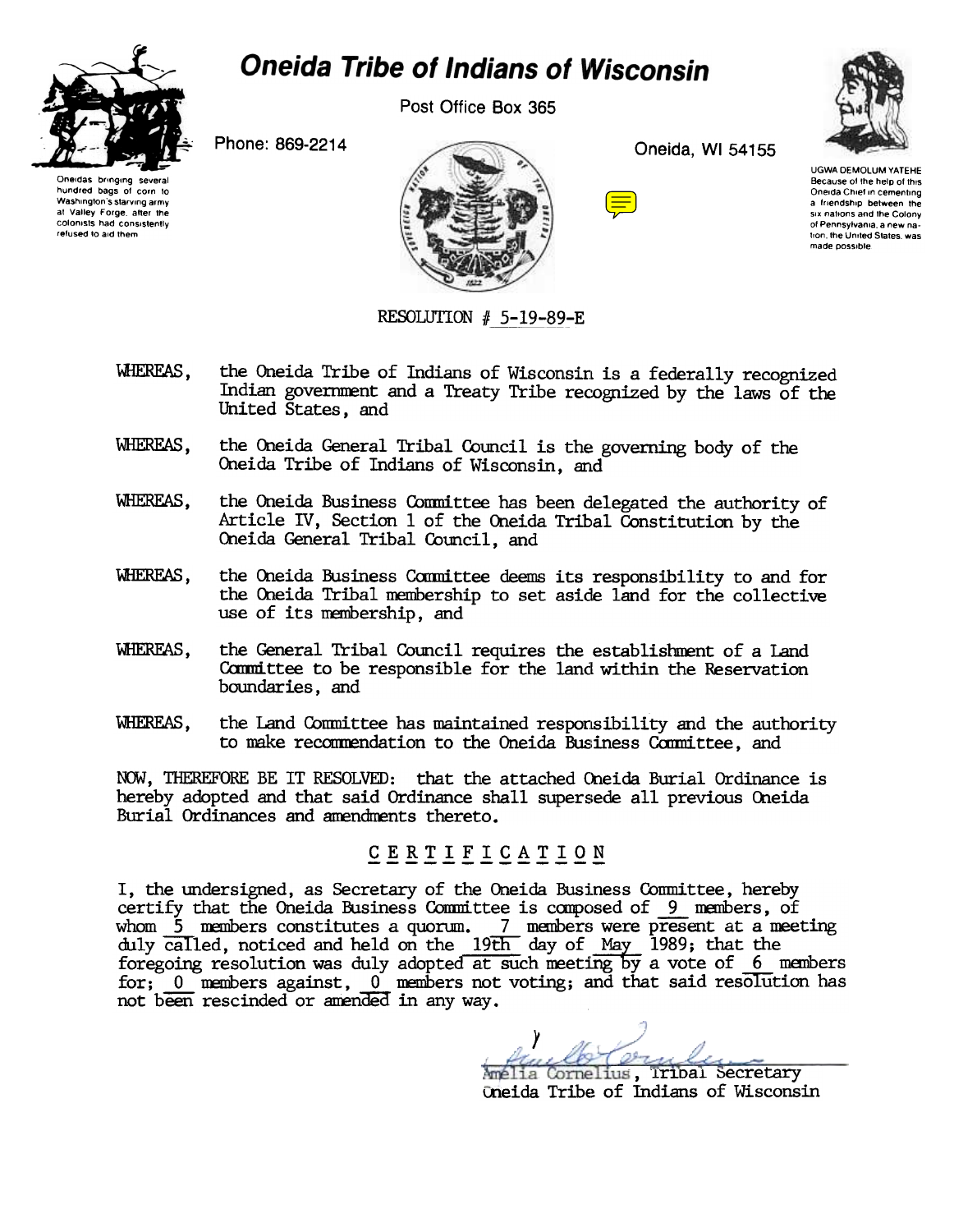

## **Oneida Tribe of Indians of Wisconsin**

Post Office Box 365

Phone: 869-2214



Oneida, WI 54155





**UGWA DEMOLUM YATEHE** Because of the help of this Oneida Chief in cementing a friendship between the six nations and the Colony of Pennsylvania, a new nation, the United States, was made possible

## RESOLUTION # 5-19-89-E

- **WHEREAS.** the Oneida Tribe of Indians of Wisconsin is a federally recognized Indian government and a Treaty Tribe recognized by the laws of the United States, and
- WHEREAS. the Oneida General Tribal Council is the governing body of the Oneida Tribe of Indians of Wisconsin, and
- the Oneida Business Committee has been delegated the authority of WHEREAS. Article IV, Section 1 of the Oneida Tribal Constitution by the Oneida General Tribal Council, and
- the Oneida Business Committee deems its responsibility to and for WHEREAS. the Oneida Tribal membership to set aside land for the collective use of its membership, and
- WHEREAS. the General Tribal Council requires the establishment of a Land Committee to be responsible for the land within the Reservation boundaries, and
- WHEREAS. the Land Committee has maintained responsibility and the authority to make recommendation to the Oneida Business Committee, and

NOW, THEREFORE BE IT RESOLVED: that the attached Oneida Burial Ordinance is hereby adopted and that said Ordinance shall supersede all previous Oneida Burial Ordinances and amendments thereto.

## CERTIFICATION

I, the undersigned, as Secretary of the Oneida Business Committee, hereby certify that the Oneida Business Committee is composed of 9 members. of whom 5 members constitutes a quorum. 7 members were present at a meeting<br>duly called, noticed and held on the 19th day of May 1989; that the<br>foregoing resolution was duly adopted at such meeting by a vote of 6 members for; 0 members against, 0 members not voting; and that said resolution has not been rescinded or amended in any way.

Amélia Cornelius, Tribal Secretary Oneida Tribe of Indians of Wisconsin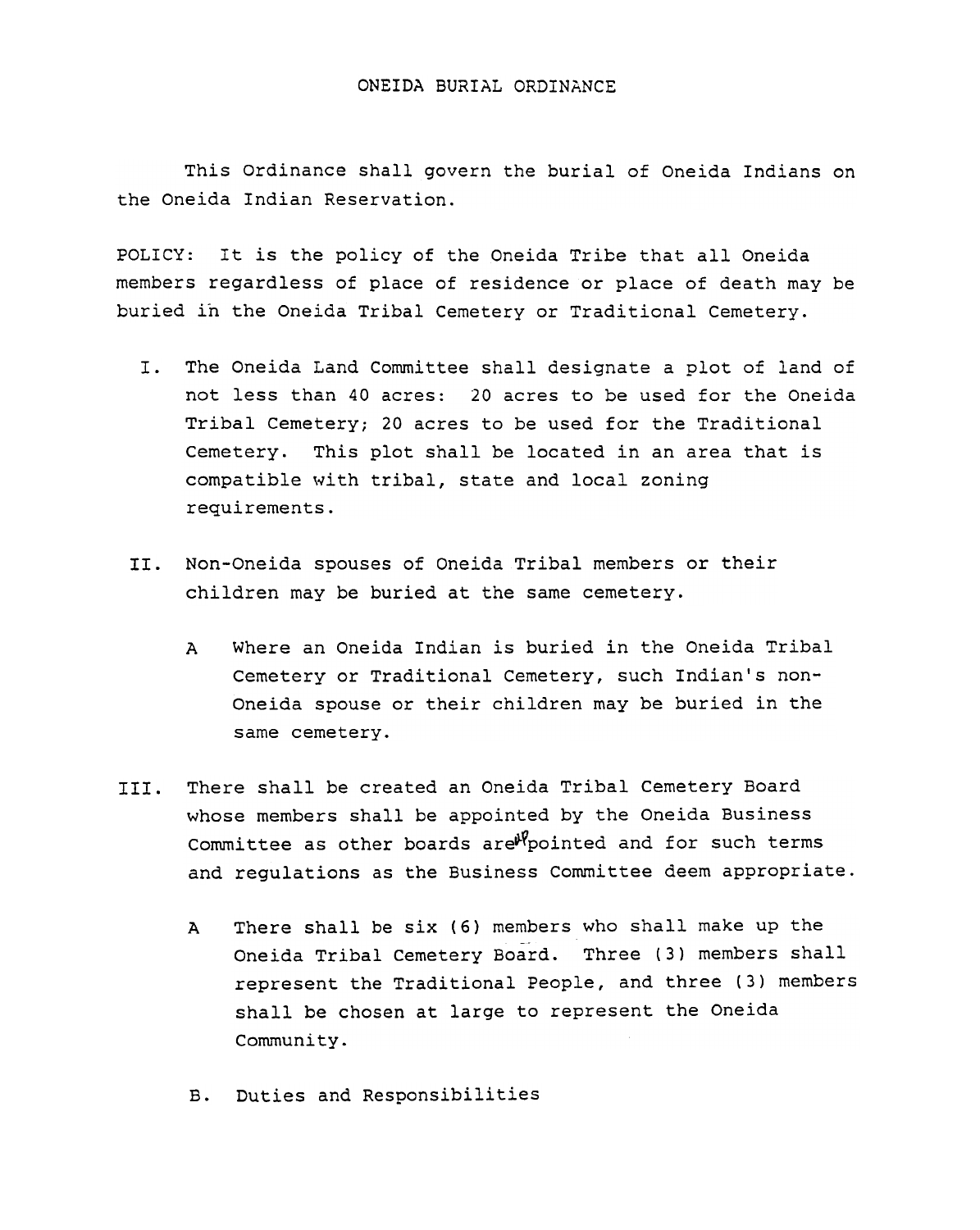## ONEIDA BURIAL ORDINANCE

This Ordinance shall govern the burial of Oneida Indians on the Oneida Indian Reservation.

POLICY: It is the policy of the Oneida Tribe that all Oneida members regardless of place of residence or place of death may be buried in the Oneida Tribal Cemetery or Traditional Cemetery.

- I. The Oneida Land Committee shall designate a plot of land of not less than 40 acres: 20 acres to be used for the Oneida Tribal Cemetery; 20 acres to be used for the Traditional Cemetery. This plot shall be located in an area that is compatible with tribal, state and local zoning requirements.
- Non-Oneida spouses of Oneida Tribal members or their children may be buried at the same cemetery.
	- A Where an Oneida Indian is buried in the Oneida Tribal Cemetery or Traditional Cemetery, such Indian's non-Oneida spouse or their children may be buried in the same cemetery.
- III. There shall be created an Oneida Tribal Cemetery Board whose members shall be appointed by the Oneida Business Committee as other boards are $\mathbb{W}_{\mathcal{P}}$ ointed and for such terms and regulations as the Business Committee deem appropriate.
	- <sup>A</sup> There shall be six (6) members who shall make up the Oneida Tribal Cemetery Board. Three (3) members shall represent the Traditional People, and three (3) members shall be chosen at large to represent the Oneida Community.
	- Duties and Responsibilities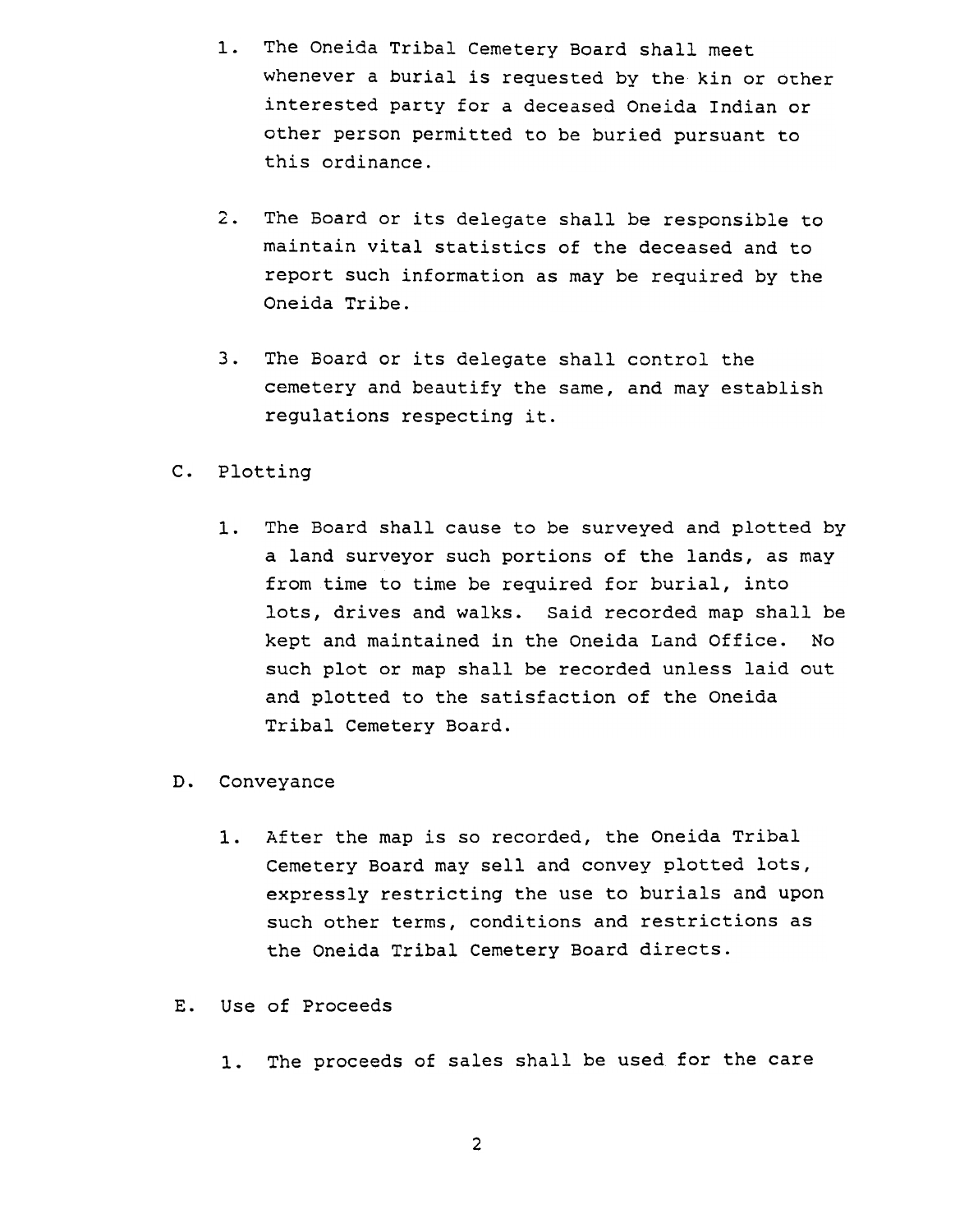- 1. The Oneida Tribal Cemetery Board shall meet whenever a burial is requested by the kin or other interested party for a deceased Oneida Indian or other person permitted to be buried pursuant to this ordinance.
- 2. The Board or its delegate shall be responsible to maintain vital statistics of the deceased and to report such information as may be required by the Oneida Tribe.
- 3. The Board or its delegate shall control the cemetery and beautify the same, and may establish regulations respecting it.
- c. Plotting
	- 1. The Board shall cause to be surveyed and plotted by a land surveyor such portions of the lands, as may from time to time be required for burial, into lots, drives and walks. Said recorded map shall be kept and maintained in the Oneida Land Office. No such plot or map shall be recorded unless laid out and plotted to the satisfaction of the Oneida Tribal Cemetery Board.
- D. Conveyance
	- 1. After the map is so recorded, the Oneida Tribal Cemetery Board may sell and convey plotted lots, expressly restricting the use to burials and upon such other terms, conditions and restrictions as the Oneida Tribal Cemetery Board directs.
- Use of Proceeds
	- 1. The proceeds of sales shall be used for the care

2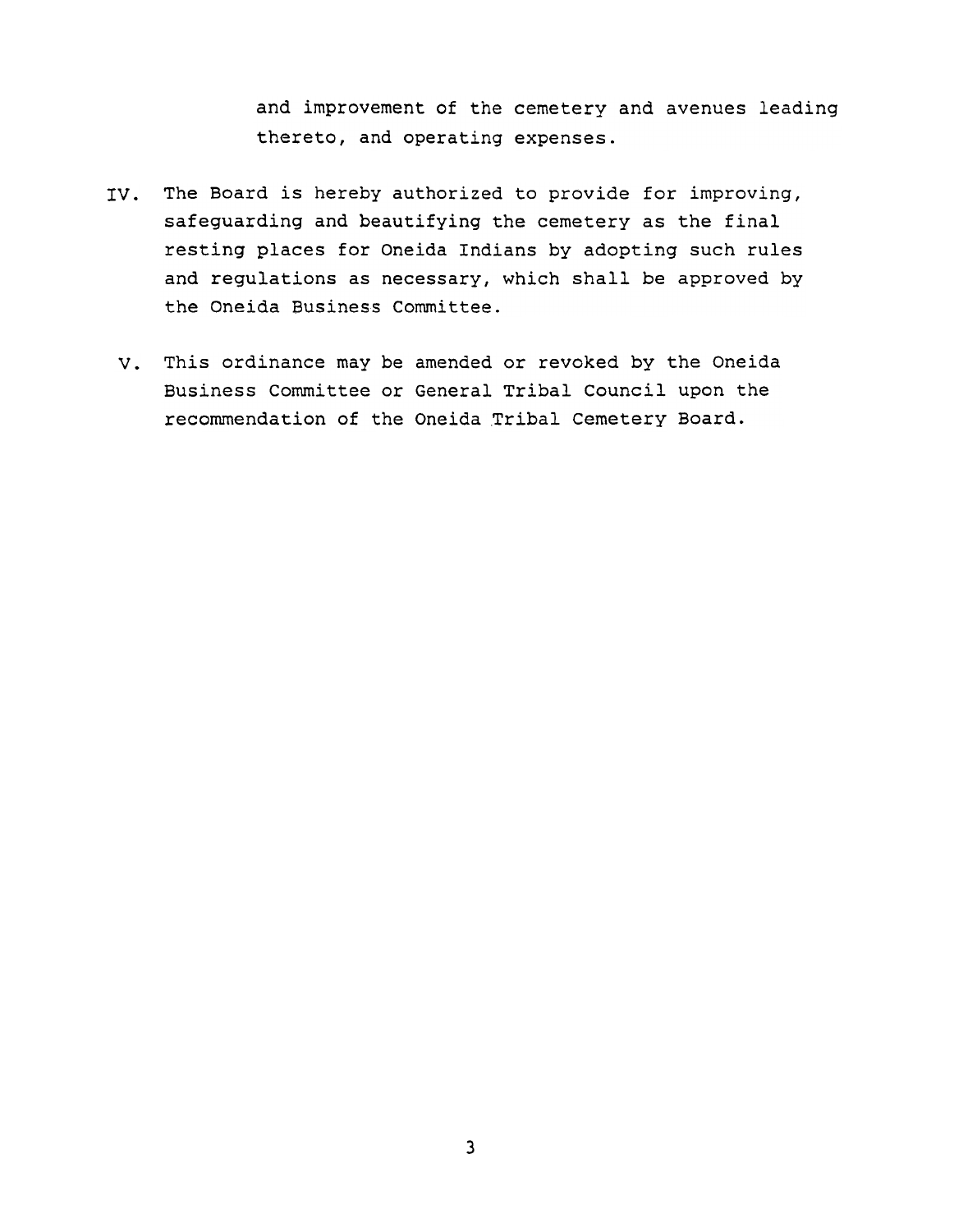and improvement of the cemetery and avenues leading thereto, and operating expenses.

- IV. The Board is hereby authorized to provide for improving, safeguarding and beautifying the cemetery as the final resting places for Oneida Indians by adopting such rules and regulations as necessary, which shall be approved by the Oneida Business Committee.
	- V. This ordinance may be amended or revoked by the Oneida Business Committee or General Tribal Council upon the recommendation of the Oneida Tribal Cemetery Board.